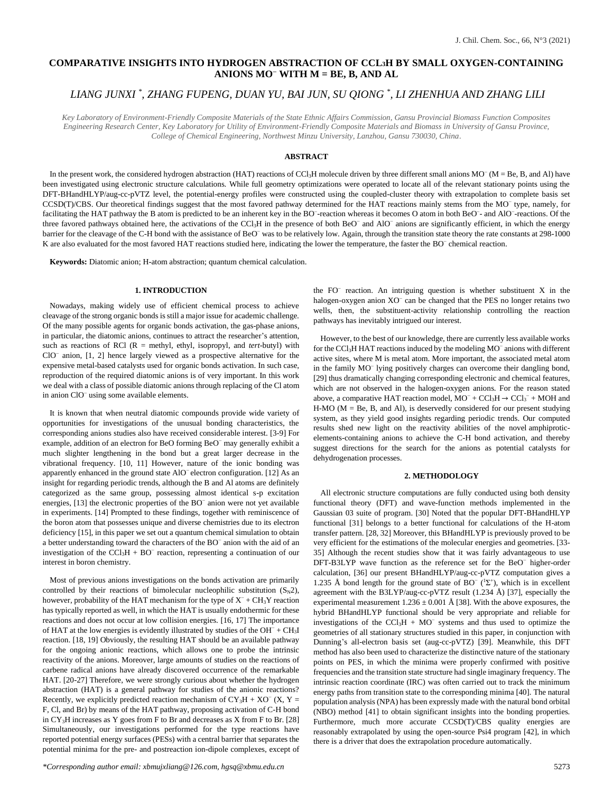# **COMPARATIVE INSIGHTS INTO HYDROGEN ABSTRACTION OF CCL3H BY SMALL OXYGEN-CONTAINING ANIONS MO<sup>−</sup> WITH M = BE, B, AND AL**

# *LIANG JUNXI \* , ZHANG FUPENG, DUAN YU, BAI JUN, SU QIONG \* , LI ZHENHUA AND ZHANG LILI*

*Key Laboratory of Environment-Friendly Composite Materials of the State Ethnic Affairs Commission, Gansu Provincial Biomass Function Composites Engineering Research Center, Key Laboratory for Utility of Environment-Friendly Composite Materials and Biomass in University of Gansu Province, College of Chemical Engineering, Northwest Minzu University, Lanzhou, Gansu 730030, China.*

## **ABSTRACT**

In the present work, the considered hydrogen abstraction (HAT) reactions of CCl<sub>3</sub>H molecule driven by three different small anions MO<sup>−</sup> (M = Be, B, and Al) have been investigated using electronic structure calculations. While full geometry optimizations were operated to locate all of the relevant stationary points using the DFT-BHandHLYP/aug-cc-pVTZ level, the potential-energy profiles were constructed using the coupled-cluster theory with extrapolation to complete basis set CCSD(T)/CBS. Our theoretical findings suggest that the most favored pathway determined for the HAT reactions mainly stems from the MO<sup>−</sup> type, namely, for facilitating the HAT pathway the B atom is predicted to be an inherent key in the BO<sup>-</sup>-reaction whereas it becomes O atom in both BeO<sup>-</sup>- and AlO<sup>-</sup>-reactions. Of the three favored pathways obtained here, the activations of the CCl<sub>3</sub>H in the presence of both BeO<sup>−</sup> and AlO<sup>−</sup> anions are significantly efficient, in which the energy barrier for the cleavage of the C-H bond with the assistance of BeO was to be relatively low. Again, through the transition state theory the rate constants at 298-1000 K are also evaluated for the most favored HAT reactions studied here, indicating the lower the temperature, the faster the BO<sup>−</sup> chemical reaction.

**Keywords:** Diatomic anion; H-atom abstraction; quantum chemical calculation.

## **1. INTRODUCTION**

Nowadays, making widely use of efficient chemical process to achieve cleavage of the strong organic bonds is still a major issue for academic challenge. Of the many possible agents for organic bonds activation, the gas-phase anions, in particular, the diatomic anions, continues to attract the researcher's attention, such as reactions of RCl  $(R = \text{methyl}, \text{ethyl}, \text{isopropy}l, \text{and} \text{tert-buty}l)$  with ClO<sup>−</sup> anion, [1, 2] hence largely viewed as a prospective alternative for the expensive metal-based catalysts used for organic bonds activation. In such case, reproduction of the required diatomic anions is of very important. In this work we deal with a class of possible diatomic anions through replacing of the Cl atom in anion ClO<sup>−</sup> using some available elements.

It is known that when neutral diatomic compounds provide wide variety of opportunities for investigations of the unusual bonding characteristics, the corresponding anions studies also have received considerable interest. [3-9] For example, addition of an electron for BeO forming BeO<sup>−</sup> may generally exhibit a much slighter lengthening in the bond but a great larger decrease in the vibrational frequency. [10, 11] However, nature of the ionic bonding was apparently enhanced in the ground state AlO<sup>−</sup> electron configuration. [12] As an insight for regarding periodic trends, although the B and Al atoms are definitely categorized as the same group, possessing almost identical s-p excitation energies, [13] the electronic properties of the BO<sup>−</sup> anion were not yet available in experiments. [14] Prompted to these findings, together with reminiscence of the boron atom that possesses unique and diverse chemistries due to its electron deficiency [15], in this paper we set out a quantum chemical simulation to obtain a better understanding toward the characters of the BO<sup>−</sup> anion with the aid of an investigation of the  $CCl_3H + BO^-$  reaction, representing a continuation of our interest in boron chemistry.

Most of previous anions investigations on the bonds activation are primarily controlled by their reactions of bimolecular nucleophilic substitution  $(S_N 2)$ , however, probability of the HAT mechanism for the type of  $X^-$  +  $CH_3Y$  reaction has typically reported as well, in which the HAT is usually endothermic for these reactions and does not occur at low collision energies. [16, 17] The importance of HAT at the low energies is evidently illustrated by studies of the OH<sup>−</sup> + CH3I reaction. [18, 19] Obviously, the resulting HAT should be an available pathway for the ongoing anionic reactions, which allows one to probe the intrinsic reactivity of the anions. Moreover, large amounts of studies on the reactions of carbene radical anions have already discovered occurrence of the remarkable HAT. [20-27] Therefore, we were strongly curious about whether the hydrogen abstraction (HAT) is a general pathway for studies of the anionic reactions? Recently, we explicitly predicted reaction mechanism of  $CY<sub>3</sub>H + XO<sup>-</sup>(X, Y =$ F, Cl, and Br) by means of the HAT pathway, proposing activation of C-H bond in  $CY<sub>3</sub>H$  increases as Y goes from F to Br and decreases as X from F to Br. [28] Simultaneously, our investigations performed for the type reactions have reported potential energy surfaces (PESs) with a central barrier that separates the potential minima for the pre- and postreaction ion-dipole complexes, except of

the FO<sup>−</sup> reaction. An intriguing question is whether substituent X in the halogen-oxygen anion XO<sup>−</sup> can be changed that the PES no longer retains two wells, then, the substituent-activity relationship controlling the reaction pathways has inevitably intrigued our interest.

However, to the best of our knowledge, there are currently less available works for the CCl<sub>3</sub>H HAT reactions induced by the modeling MO<sup>−</sup> anions with different active sites, where M is metal atom. More important, the associated metal atom in the family MO<sup>−</sup> lying positively charges can overcome their dangling bond, [29] thus dramatically changing corresponding electronic and chemical features, which are not observed in the halogen-oxygen anions. For the reason stated above, a comparative HAT reaction model,  $MO^- + CCl_3H \rightarrow CCl_3^- + MOH$  and H-MO ( $M = Be$ ,  $B$ , and Al), is deservedly considered for our present studying system, as they yield good insights regarding periodic trends. Our computed results shed new light on the reactivity abilities of the novel amphiproticelements-containing anions to achieve the C-H bond activation, and thereby suggest directions for the search for the anions as potential catalysts for dehydrogenation processes.

#### **2. METHODOLOGY**

All electronic structure computations are fully conducted using both density functional theory (DFT) and wave-function methods implemented in the Gaussian 03 suite of program. [30] Noted that the popular DFT-BHandHLYP functional [31] belongs to a better functional for calculations of the H-atom transfer pattern. [28, 32] Moreover, this BHandHLYP is previously proved to be very efficient for the estimations of the molecular energies and geometries. [33- 35] Although the recent studies show that it was fairly advantageous to use DFT-B3LYP wave function as the reference set for the BeO<sup>−</sup> higher-order calculation, [36] our present BHandHLYP/aug-cc-pVTZ computation gives a 1.235 Å bond length for the ground state of BO<sup> $-$ </sup> (<sup>1</sup> $\Sigma$ <sup>+</sup>), which is in excellent agreement with the B3LYP/aug-cc-pVTZ result  $(1.234 \text{ Å})$  [37], especially the experimental measurement  $1.236 \pm 0.001$  Å [38]. With the above exposures, the hybrid BHandHLYP functional should be very appropriate and reliable for investigations of the CCl<sub>3</sub>H + MO<sup> $-$ </sup> systems and thus used to optimize the geometries of all stationary structures studied in this paper, in conjunction with Dunning's all-electron basis set (aug-cc-pVTZ) [39]. Meanwhile, this DFT method has also been used to characterize the distinctive nature of the stationary points on PES, in which the minima were properly confirmed with positive frequencies and the transition state structure had single imaginary frequency. The intrinsic reaction coordinate (IRC) was often carried out to track the minimum energy paths from transition state to the corresponding minima [40]. The natural population analysis (NPA) has been expressly made with the natural bond orbital (NBO) method [41] to obtain significant insights into the bonding properties. Furthermore, much more accurate CCSD(T)/CBS quality energies are reasonably extrapolated by using the open-source Psi4 program [42], in which there is a driver that does the extrapolation procedure automatically.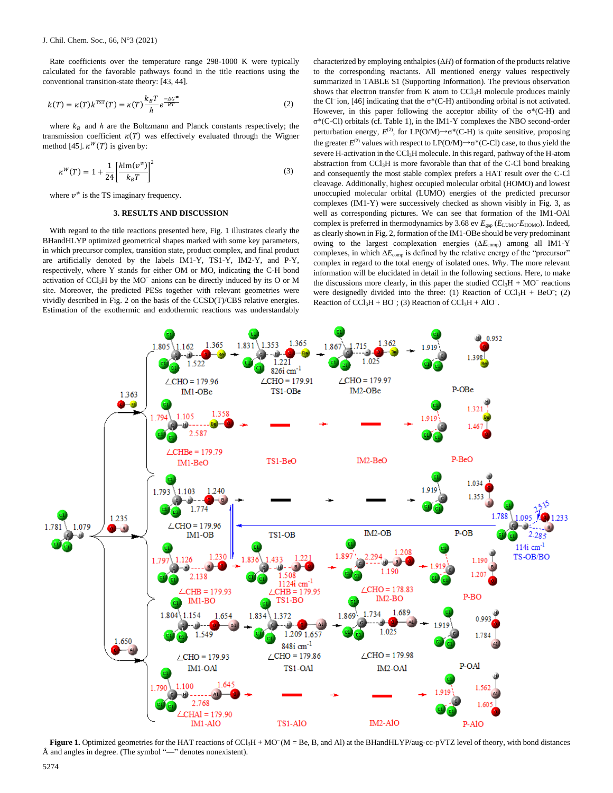Rate coefficients over the temperature range 298-1000 K were typically calculated for the favorable pathways found in the title reactions using the conventional transition-state theory: [43, 44].

$$
k(T) = \kappa(T)k^{TST}(T) = \kappa(T)\frac{k_B T}{h}e^{\frac{-AC^*}{RT}}
$$
\n(2)

where  $k_B$  and  $h$  are the Boltzmann and Planck constants respectively; the transmission coefficient  $\kappa(T)$  was effectively evaluated through the Wigner method [45].  $\kappa^W(T)$  is given by:

$$
\kappa^{W}(T) = 1 + \frac{1}{24} \left[ \frac{h \text{Im}(v^{*})}{k_{B}T} \right]^{2}
$$
 (3)

where  $v^{\neq}$  is the TS imaginary frequency.

## **3. RESULTS AND DISCUSSION**

With regard to the title reactions presented here, Fig. 1 illustrates clearly the BHandHLYP optimized geometrical shapes marked with some key parameters, in which precursor complex, transition state, product complex, and final product are artificially denoted by the labels IM1-Y, TS1-Y, IM2-Y, and P-Y, respectively, where Y stands for either OM or MO, indicating the C-H bond activation of CCl<sub>3</sub>H by the MO<sup>−</sup> anions can be directly induced by its O or M site. Moreover, the predicted PESs together with relevant geometries were vividly described in Fig. 2 on the basis of the CCSD(T)/CBS relative energies. Estimation of the exothermic and endothermic reactions was understandably characterized by employing enthalpies (Δ*H*) of formation of the products relative to the corresponding reactants. All mentioned energy values respectively summarized in TABLE S1 (Supporting Information). The previous observation shows that electron transfer from K atom to CCl<sub>3</sub>H molecule produces mainly the Cl<sup>−</sup>ion, [46] indicating that the σ<sup>\*</sup>(C-H) antibonding orbital is not activated. However, in this paper following the acceptor ability of the  $\sigma^*(C-H)$  and σ\*(C-Cl) orbitals (cf. Table 1), in the IM1-Y complexes the NBO second-order perturbation energy,  $E^{(2)}$ , for LP(O/M) $\rightarrow$ σ<sup>\*</sup>(C-H) is quite sensitive, proposing the greater  $E^{(2)}$  values with respect to  $LP(O/M) \rightarrow \sigma^*(C-CI)$  case, to thus yield the severe H-activation in the CCl<sub>3</sub>H molecule. In this regard, pathway of the H-atom abstraction from CCl3H is more favorable than that of the C-Cl bond breaking and consequently the most stable complex prefers a HAT result over the C-Cl cleavage. Additionally, highest occupied molecular orbital (HOMO) and lowest unoccupied molecular orbital (LUMO) energies of the predicted precursor complexes (IM1-Y) were successively checked as shown visibly in Fig. 3, as well as corresponding pictures. We can see that formation of the IM1-OAl complex is preferred in thermodynamics by 3.68 ev *E*gap (*E*LUMO-*E*HOMO). Indeed, as clearly shown in Fig. 2, formation of the IM1-OBe should be very predominant owing to the largest complexation energies (Δ*E*comp) among all IM1-Y complexes, in which Δ*E*comp is defined by the relative energy of the "precursor" complex in regard to the total energy of isolated ones. *Why*. The more relevant information will be elucidated in detail in the following sections. Here, to make the discussions more clearly, in this paper the studied  $CCl<sub>3</sub>H + MO<sup>-</sup>$  reactions were designedly divided into the three: (1) Reaction of  $CCl<sub>3</sub>H + BeO^-$ ; (2) Reaction of  $CCl<sub>3</sub>H + BO^-$ ; (3) Reaction of  $CCl<sub>3</sub>H + AIO^-$ .



Figure 1. Optimized geometries for the HAT reactions of CCl<sub>3</sub>H + MO<sup>-</sup>(M = Be, B, and Al) at the BHandHLYP/aug-cc-pVTZ level of theory, with bond distances Å and angles in degree. (The symbol "—" denotes nonexistent).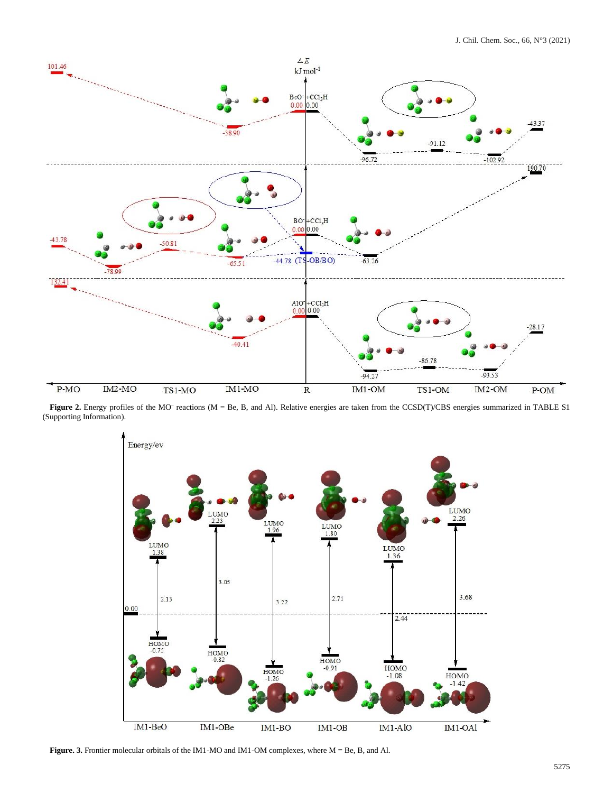

**Figure 2.** Energy profiles of the MO<sup>–</sup> reactions (M = Be, B, and Al). Relative energies are taken from the CCSD(T)/CBS energies summarized in TABLE S1 (Supporting Information).



**Figure. 3.** Frontier molecular orbitals of the IM1-MO and IM1-OM complexes, where M = Be, B, and Al.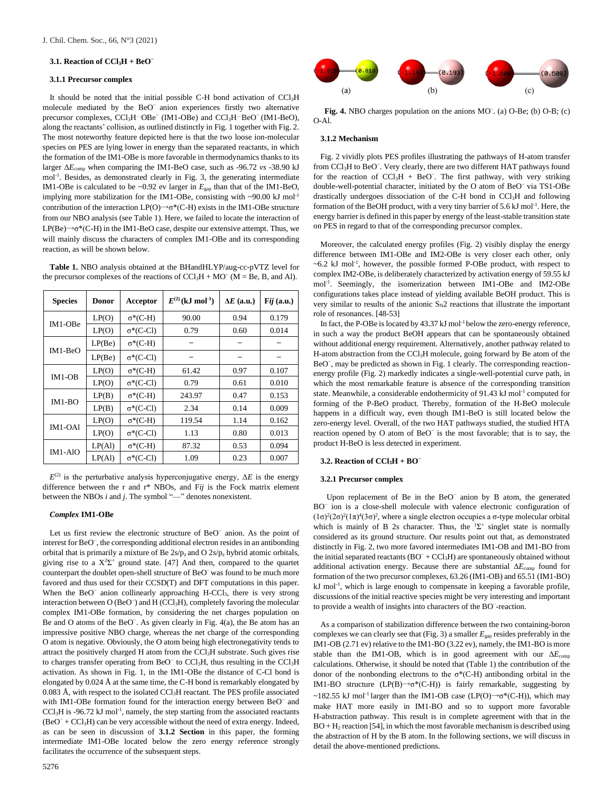#### **3.1. Reaction of CCl3H + BeO<sup>−</sup>**

#### **3.1.1 Precursor complex**

It should be noted that the initial possible C-H bond activation of CCl3H molecule mediated by the BeO<sup>−</sup> anion experiences firstly two alternative precursor complexes, CCl<sub>3</sub>H<sup>...</sup>OBe<sup>−</sup> (IM1-OBe) and CCl<sub>3</sub>H<sup>-..</sup>BeO<sup>−</sup> (IM1-BeO), along the reactants' collision, as outlined distinctly in Fig. 1 together with Fig. 2. The most noteworthy feature depicted here is that the two loose ion-molecular species on PES are lying lower in energy than the separated reactants, in which the formation of the IM1-OBe is more favorable in thermodynamics thanks to its larger Δ*E*comp when comparing the IM1-BeO case, such as -96.72 *vs* -38.90 kJ mol-1 . Besides, as demonstrated clearly in Fig. 3, the generating intermediate IM1-OBe is calculated to be  $\sim 0.92$  ev larger in  $E_{\text{gap}}$  than that of the IM1-BeO, implying more stabilization for the IM1-OBe, consisting with  $\sim$ 90.00 kJ mol<sup>-1</sup> contribution of the interaction LP(O) $\rightarrow$ σ\*(C-H) exists in the IM1-OBe structure from our NBO analysis (see Table 1). Here, we failed to locate the interaction of  $LP(Be) \rightarrow \sigma^*(C-H)$  in the IM1-BeO case, despite our extensive attempt. Thus, we will mainly discuss the characters of complex IM1-OBe and its corresponding reaction, as will be shown below.

**Table 1.** NBO analysis obtained at the BHandHLYP/aug-cc-pVTZ level for the precursor complexes of the reactions of  $CCl<sub>3</sub>H + MO<sup>-</sup> (M = Be, B, and Al)$ .

| <b>Species</b> | <b>Donor</b> | Acceptor         | $E^{(2)}$ (kJ mol <sup>-1</sup> ) | $\Delta E$ (a.u.) | Fij $(a.u.)$ |
|----------------|--------------|------------------|-----------------------------------|-------------------|--------------|
| IM1-OBe        | LP(O)        | $\sigma^*(C-H)$  | 90.00                             | 0.94              | 0.179        |
|                | LP(O)        | $\sigma^*(C-Cl)$ | 0.79                              | 0.60              | 0.014        |
| IM1-BeO        | LP(Be)       | $\sigma^*(C-H)$  |                                   |                   |              |
|                | LP(Be)       | $\sigma^*(C-CI)$ |                                   |                   |              |
| $IM1-OB$       | LP(O)        | $\sigma^*(C-H)$  | 61.42                             | 0.97              | 0.107        |
|                | LP(O)        | $\sigma^*(C-CI)$ | 0.79                              | 0.61              | 0.010        |
| $IM1-BO$       | LP(B)        | $\sigma^*(C-H)$  | 243.97                            | 0.47              | 0.153        |
|                | LP(B)        | $\sigma^*(C-CI)$ | 2.34                              | 0.14              | 0.009        |
| $IM1-OAl$      | LP(O)        | $\sigma^*(C-H)$  | 119.54                            | 1.14              | 0.162        |
|                | LP(O)        | $\sigma^*(C-CI)$ | 1.13                              | 0.80              | 0.013        |
| $IM1-AIO$      | LP(A)        | $\sigma^*(C-H)$  | 87.32                             | 0.53              | 0.094        |
|                | LP(Al)       | $\sigma^*(C-CI)$ | 1.09                              | 0.23              | 0.007        |

 $E^{(2)}$  is the perturbative analysis hyperconjugative energy,  $\Delta E$  is the energy difference between the r and r\* NBOs, and F*ij* is the Fock matrix element between the NBOs *i* and *j*. The symbol "—" denotes nonexistent.

#### *Complex* **IM1-OBe**

Let us first review the electronic structure of BeO<sup>−</sup> anion. As the point of interest for BeO − , the corresponding additional electron resides in an antibonding orbital that is primarily a mixture of Be  $2s/p_z$  and O  $2s/p_z$  hybrid atomic orbitals, giving rise to a  $X^2\Sigma^+$  ground state. [47] And then, compared to the quartet counterpart the doublet open-shell structure of BeO<sup>-</sup> was found to be much more favored and thus used for their CCSD(T) and DFT computations in this paper. When the BeO<sup>−</sup> anion collinearly approaching H-CCl<sub>3</sub>, there is very strong interaction between O (BeO<sup>−</sup> ) and H (CCl3H), completely favoring the molecular complex IM1-OBe formation, by considering the net charges population on Be and O atoms of the BeO<sup>−</sup> . As given clearly in Fig. 4(a), the Be atom has an impressive positive NBO charge, whereas the net charge of the corresponding O atom is negative. Obviously, the O atom being high electronegativity tends to attract the positively charged H atom from the  $CCl<sub>3</sub>H$  substrate. Such gives rise to charges transfer operating from BeO<sup>−</sup> to CCl<sub>3</sub>H, thus resulting in the CCl<sub>3</sub>H activation. As shown in Fig. 1, in the IM1-OBe the distance of C-Cl bond is elongated by 0.024 Å at the same time, the C-H bond is remarkably elongated by  $0.083$  Å, with respect to the isolated CCl<sub>3</sub>H reactant. The PES profile associated with IM1-OBe formation found for the interaction energy between BeO<sup>−</sup> and  $CCl<sub>3</sub>H$  is -96.72 kJ mol<sup>-1</sup>, namely, the step starting from the associated reactants (BeO<sup>−</sup> + CCl3H) can be very accessible without the need of extra energy. Indeed, as can be seen in discussion of **3.1.2 Section** in this paper, the forming intermediate IM1-OBe located below the zero energy reference strongly facilitates the occurrence of the subsequent steps.



Fig. 4. NBO charges population on the anions MO<sup>-</sup>. (a) O-Be; (b) O-B; (c) O-Al.

## **3.1.2 Mechanism**

Fig. 2 vividly plots PES profiles illustrating the pathways of H-atom transfer from CCl<sub>3</sub>H to BeO<sup>-</sup>. Very clearly, there are two different HAT pathways found for the reaction of  $CCl<sub>3</sub>H + BeO<sup>-</sup>$ . The first pathway, with very striking double-well-potential character, initiated by the O atom of BeO<sup>−</sup> via TS1-OBe drastically undergoes dissociation of the C-H bond in CCl3H and following formation of the BeOH product, with a very tiny barrier of 5.6 kJ mol<sup>-1</sup>. Here, the energy barrier is defined in this paper by energy of the least-stable transition state on PES in regard to that of the corresponding precursor complex.

Moreover, the calculated energy profiles (Fig. 2) visibly display the energy difference between IM1-OBe and IM2-OBe is very closer each other, only  $\sim$  6.2 kJ mol<sup>-1</sup>, however, the possible formed P-OBe product, with respect to complex IM2-OBe, is deliberately characterized by activation energy of 59.55 kJ mol-1 . Seemingly, the isomerization between IM1-OBe and IM2-OBe configurations takes place instead of yielding available BeOH product. This is very similar to results of the anionic  $S_N2$  reactions that illustrate the important role of resonances. [48-53]

In fact, the P-OBe is located by 43.37 kJ mol<sup>-1</sup> below the zero-energy reference, in such a way the product BeOH appears that can be spontaneously obtained without additional energy requirement. Alternatively, another pathway related to H-atom abstraction from the CCl<sub>3</sub>H molecule, going forward by Be atom of the BeO<sup>-</sup>, may be predicted as shown in Fig. 1 clearly. The corresponding reactionenergy profile (Fig. 2) markedly indicates a single-well-potential curve path, in which the most remarkable feature is absence of the corresponding transition state. Meanwhile, a considerable endothermicity of 91.43 kJ mol<sup>-1</sup> computed for forming of the P-BeO product. Thereby, formation of the H-BeO molecule happens in a difficult way, even though IM1-BeO is still located below the zero-energy level. Overall, of the two HAT pathways studied, the studied HTA reaction opened by O atom of BeO<sup>−</sup> is the most favorable; that is to say, the product H-BeO is less detected in experiment.

#### **3.2. Reaction of CCl3H + BO<sup>−</sup>**

## **3.2.1 Precursor complex**

Upon replacement of Be in the BeO<sup>−</sup> anion by B atom, the generated BO<sup>-</sup> ion is a close-shell molecule with valence electronic configuration of  $(1σ)^2(2σ)^2(1π)^4(3σ)^2$ , where a single electron occupies a σ-type molecular orbital which is mainly of B 2s character. Thus, the  ${}^{1}\Sigma^{+}$  singlet state is normally considered as its ground structure. Our results point out that, as demonstrated distinctly in Fig. 2, two more favored intermediates IM1-OB and IM1-BO from the initial separated reactants (BO<sup>−</sup> + CCl3H) are spontaneously obtained without additional activation energy. Because there are substantial Δ*E*comp found for formation of the two precursor complexes, 63.26 (IM1-OB) and 65.51 (IM1-BO) kJ mol<sup>-1</sup>, which is large enough to compensate in keeping a favorable profile, discussions of the initial reactive species might be very interesting and important to provide a wealth of insights into characters of the BO<sup>-</sup>-reaction.

As a comparison of stabilization difference between the two containing-boron complexes we can clearly see that (Fig. 3) a smaller *E*gap resides preferably in the IM1-OB (2.71 ev) relative to the IM1-BO (3.22 ev), namely, the IM1-BO is more stable than the IM1-OB, which is in good agreement with our Δ*E*comp calculations. Otherwise, it should be noted that (Table 1) the contribution of the donor of the nonbonding electrons to the  $\sigma^*(C-H)$  antibonding orbital in the IM1-BO structure  $(LP(B) \rightarrow \sigma^*(C-H))$  is fairly remarkable, suggesting by ~182.55 kJ mol<sup>-1</sup> larger than the IM1-OB case (LP(O) $\rightarrow \sigma^*(C-H)$ ), which may make HAT more easily in IM1-BO and so to support more favorable H-abstraction pathway. This result is in complete agreement with that in the  $BO + H<sub>2</sub>$  reaction [54], in which the most favorable mechanism is described using the abstraction of H by the B atom. In the following sections, we will discuss in detail the above-mentioned predictions.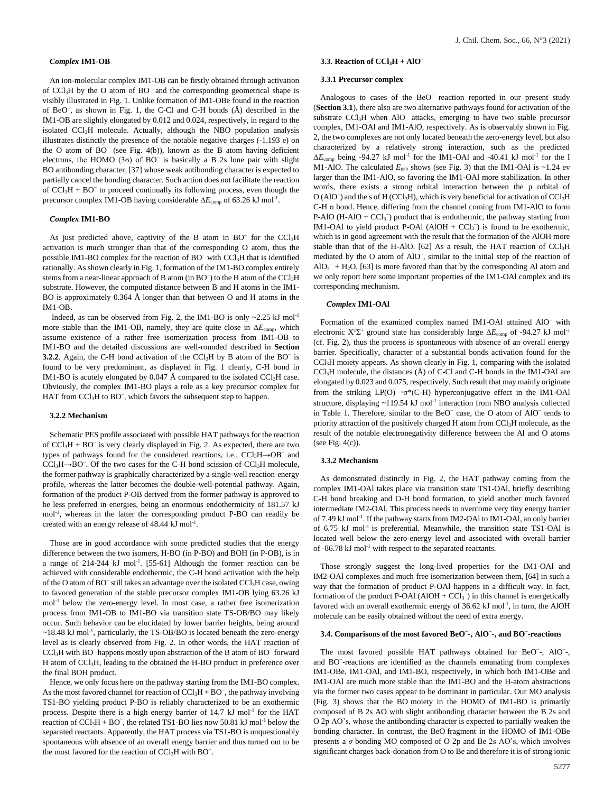## *Complex* **IM1-OB**

An ion-molecular complex IM1-OB can be firstly obtained through activation of CCl3H by the O atom of BO<sup>−</sup> and the corresponding geometrical shape is visibly illustrated in Fig. 1. Unlike formation of IM1-OBe found in the reaction of BeO<sup>−</sup> , as shown in Fig. 1, the C-Cl and C-H bonds (Å) described in the IM1-OB are slightly elongated by 0.012 and 0.024, respectively, in regard to the isolated CCl<sub>3</sub>H molecule. Actually, although the NBO population analysis illustrates distinctly the presence of the notable negative charges (-1.193 e) on the O atom of BO<sup>−</sup> (see Fig. 4(b)), known as the B atom having deficient electrons, the HOMO (3 $\sigma$ ) of BO<sup>−</sup> is basically a B 2s lone pair with slight BO antibonding character, [37] whose weak antibonding character is expected to partially cancel the bonding character. Such action does not facilitate the reaction of CCl3H + BO<sup>−</sup> to proceed continually its following process, even though the precursor complex IM1-OB having considerable ΔE<sub>comp</sub> of 63.26 kJ mol<sup>-1</sup>.

## *Complex* **IM1-BO**

As just predicted above, captivity of the B atom in BO<sup>−</sup> for the CCl<sub>3</sub>H activation is much stronger than that of the corresponding O atom, thus the possible IM1-BO complex for the reaction of BO<sup>−</sup> with CCl3H that is identified rationally. As shown clearly in Fig. 1, formation of the IM1-BO complex entirely stems from a near-linear approach of B atom (in BO<sup>-</sup>) to the H atom of the CCl<sub>3</sub>H substrate. However, the computed distance between B and H atoms in the IM1- BO is approximately 0.364 Å longer than that between O and H atoms in the IM1-OB.

Indeed, as can be observed from Fig. 2, the IM1-BO is only  $\sim$ 2.25 kJ mol<sup>-1</sup> more stable than the IM1-OB, namely, they are quite close in Δ*E*comp, which assume existence of a rather free isomerization process from IM1-OB to IM1-BO and the detailed discussions are well-rounded described in **Section 3.2.2**. Again, the C-H bond activation of the CCl<sub>3</sub>H by B atom of the BO<sup>−</sup> is found to be very predominant, as displayed in Fig. 1 clearly, C-H bond in IM1-BO is acutely elongated by 0.047 Å compared to the isolated CCl<sub>3</sub>H case. Obviously, the complex IM1-BO plays a role as a key precursor complex for HAT from CCl<sub>3</sub>H to BO<sup>−</sup>, which favors the subsequent step to happen.

#### **3.2.2 Mechanism**

Schematic PES profile associated with possible HAT pathways for the reaction of CCl3H + BO<sup>−</sup> is very clearly displayed in Fig. 2. As expected, there are two types of pathways found for the considered reactions, i.e., CCl<sub>3</sub>H→OB<sup>-</sup> and CCl3H→BO<sup>−</sup> . Of the two cases for the C-H bond scission of CCl3H molecule, the former pathway is graphically characterized by a single-well reaction-energy profile, whereas the latter becomes the double-well-potential pathway. Again, formation of the product P-OB derived from the former pathway is approved to be less preferred in energies, being an enormous endothermicity of 181.57 kJ mol-1 , whereas in the latter the corresponding product P-BO can readily be created with an energy release of 48.44 kJ mol<sup>-1</sup>.

Those are in good accordance with some predicted studies that the energy difference between the two isomers, H-BO (in P-BO) and BOH (in P-OB), is in a range of  $214-244$  kJ mol<sup>-1</sup>. [55-61] Although the former reaction can be achieved with considerable endothermic, the C-H bond activation with the help of the O atom of BO<sup>-</sup> still takes an advantage over the isolated CCl<sub>3</sub>H case, owing to favored generation of the stable precursor complex IM1-OB lying 63.26 kJ mol<sup>-1</sup> below the zero-energy level. In most case, a rather free isomerization process from IM1-OB to IM1-BO via transition state TS-OB/BO may likely occur. Such behavior can be elucidated by lower barrier heights, being around ~18.48 kJ mol<sup>-1</sup>, particularly, the TS-OB/BO is located beneath the zero-energy level as is clearly observed from Fig. 2. In other words, the HAT reaction of CCl<sub>3</sub>H with BO<sup>−</sup> happens mostly upon abstraction of the B atom of BO<sup>−</sup> forward H atom of CCl3H, leading to the obtained the H-BO product in preference over the final BOH product.

Hence, we only focus here on the pathway starting from the IM1-BO complex. As the most favored channel for reaction of  $CCl<sub>3</sub>H + BO<sub>-</sub>$ , the pathway involving TS1-BO yielding product P-BO is reliably characterized to be an exothermic process. Despite there is a high energy barrier of 14.7 kJ mol<sup>-1</sup> for the HAT reaction of  $CCl<sub>3</sub>H + BO<sup>-</sup>$ , the related TS1-BO lies now 50.81 kJ mol<sup>-1</sup> below the separated reactants. Apparently, the HAT process via TS1-BO is unquestionably spontaneous with absence of an overall energy barrier and thus turned out to be the most favored for the reaction of CCl3H with BO<sup>−</sup> .

## **3.3. Reaction of CCl3H + AlO<sup>−</sup>**

#### **3.3.1 Precursor complex**

Analogous to cases of the BeO<sup>-</sup> reaction reported in our present study (**Section 3.1**), there also are two alternative pathways found for activation of the substrate CCl<sub>3</sub>H when AlO<sup>-</sup> attacks, emerging to have two stable precursor complex, IM1-OAl and IM1-AlO, respectively. As is observably shown in Fig. 2, the two complexes are not only located beneath the zero-energy level, but also characterized by a relatively strong interaction, such as the predicted  $\Delta E_{\text{comp}}$  being -94.27 kJ mol<sup>-1</sup> for the IM1-OAl and -40.41 kJ mol<sup>-1</sup> for the I M1-AlO. The calculated  $E_{\text{gap}}$  shows (see Fig. 3) that the IM1-OAl is ~1.24 ev larger than the IM1-AlO, so favoring the IM1-OAl more stabilization. In other words, there exists a strong orbital interaction between the p orbital of O (AlO<sup>-</sup>) and the s of H (CCl<sub>3</sub>H), which is very beneficial for activation of CCl<sub>3</sub>H C-H σ bond. Hence, differing from the channel coming from IM1-AlO to form P-AlO  $(H-AIO + CCI<sub>3</sub><sup>-</sup>)$  product that is endothermic, the pathway starting from IM1-OAl to yield product P-OAl  $(AIOH + CCI<sub>3</sub><sup>-</sup>)$  is found to be exothermic, which is in good agreement with the result that the formation of the AlOH more stable than that of the H-AlO. [62] As a result, the HAT reaction of CCl<sub>3</sub>H mediated by the O atom of AlO<sup>−</sup> , similar to the initial step of the reaction of  $AIO<sub>2</sub><sup>-</sup> + H<sub>2</sub>O$ , [63] is more favored than that by the corresponding Al atom and we only report here some important properties of the IM1-OAl complex and its corresponding mechanism.

## *Complex* **IM1-OAl**

Formation of the examined complex named IM1-OAl attained AlO<sup>−</sup> with electronic  $X^1\Sigma^+$  ground state has considerably large  $\Delta E_{\text{comp}}$  of -94.27 kJ mol<sup>-1</sup> (cf. Fig. 2), thus the process is spontaneous with absence of an overall energy barrier. Specifically, character of a substantial bonds activation found for the CCl3H moiety appears. As shown clearly in Fig. 1, comparing with the isolated  $CCl<sub>3</sub>H$  molecule, the distances  $(A)$  of C-Cl and C-H bonds in the IM1-OAl are elongated by 0.023 and 0.075, respectively. Such result that may mainly originate from the striking  $LP(O) \rightarrow \sigma^*(C-H)$  hyperconjugative effect in the IM1-OAl structure, displaying  $\sim$ 119.54 kJ mol<sup>-1</sup> interaction from NBO analysis collected in Table 1. Therefore, similar to the BeO<sup>−</sup> case, the O atom of AlO<sup>−</sup> tends to priority attraction of the positively charged H atom from CCl3H molecule, as the result of the notable electronegativity difference between the Al and O atoms (see Fig. 4(c)).

## **3.3.2 Mechanism**

As demonstrated distinctly in Fig. 2, the HAT pathway coming from the complex IM1-OAl takes place via transition state TS1-OAl, briefly describing C-H bond breaking and O-H bond formation, to yield another much favored intermediate IM2-OAl. This process needs to overcome very tiny energy barrier of 7.49 kJ mol<sup>-1</sup>. If the pathway starts from IM2-OAl to IM1-OAl, an only barrier of 6.75 kJ mol<sup>-1</sup> is preferential. Meanwhile, the transition state TS1-OAl is located well below the zero-energy level and associated with overall barrier of -86.78 kJ mol<sup>-1</sup> with respect to the separated reactants.

Those strongly suggest the long-lived properties for the IM1-OAl and IM2-OAl complexes and much free isomerization between them, [64] in such a way that the formation of product P-OAl happens in a difficult way. In fact, formation of the product P-OAl  $(AIOH + CCI<sub>3</sub><sup>-</sup>)$  in this channel is energetically favored with an overall exothermic energy of 36.62 kJ mol<sup>-1</sup>, in turn, the AlOH molecule can be easily obtained without the need of extra energy.

#### **3.4. Comparisons of the most favored BeO<sup>−</sup> -, AlO<sup>−</sup> -, and BO<sup>−</sup> -reactions**

The most favored possible HAT pathways obtained for BeO<sup>-</sup>-, AlO<sup>-</sup>-, and BO<sup>-</sup>-reactions are identified as the channels emanating from complexes IM1-OBe, IM1-OAl, and IM1-BO, respectively, in which both IM1-OBe and IM1-OAl are much more stable than the IM1-BO and the H-atom abstractions via the former two cases appear to be dominant in particular. Our MO analysis (Fig. 3) shows that the BO moiety in the HOMO of IM1-BO is primarily composed of B 2s AO with slight antibonding character between the B 2s and O 2p AO's, whose the antibonding character is expected to partially weaken the bonding character. In contrast, the BeO fragment in the HOMO of IM1-OBe presents a *σ* bonding MO composed of O 2p and Be 2s AO's, which involves significant charges back-donation from O to Be and therefore it is of strong ionic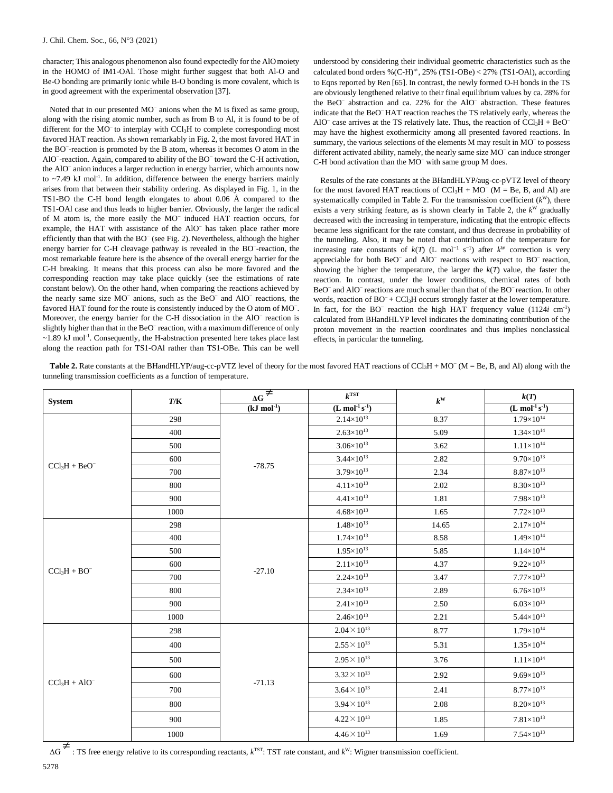character; This analogous phenomenon also found expectedly for the AlOmoiety in the HOMO of IM1-OAl. Those might further suggest that both Al-O and Be-O bonding are primarily ionic while B-O bonding is more covalent, which is in good agreement with the experimental observation [37].

Noted that in our presented MO<sup>−</sup> anions when the M is fixed as same group, along with the rising atomic number, such as from B to Al, it is found to be of different for the MO<sup>−</sup> to interplay with CCl3H to complete corresponding most favored HAT reaction. As shown remarkably in Fig. 2, the most favored HAT in the BO<sup>−</sup> -reaction is promoted by the B atom, whereas it becomes O atom in the AlO<sup>−</sup> -reaction. Again, compared to ability of the BO<sup>−</sup> toward the C-H activation, the AlO<sup>−</sup> anion induces a larger reduction in energy barrier, which amounts now to  $\sim$ 7.49 kJ mol<sup>-1</sup>. In addition, difference between the energy barriers mainly arises from that between their stability ordering. As displayed in Fig. 1, in the TS1-BO the C-H bond length elongates to about 0.06 Å compared to the TS1-OAl case and thus leads to higher barrier. Obviously, the larger the radical of M atom is, the more easily the MO<sup>−</sup> induced HAT reaction occurs, for example, the HAT with assistance of the AlO<sup>−</sup> has taken place rather more efficiently than that with the BO<sup>−</sup> (see Fig. 2). Nevertheless, although the higher energy barrier for C-H cleavage pathway is revealed in the BO<sup>-</sup>-reaction, the most remarkable feature here is the absence of the overall energy barrier for the C-H breaking. It means that this process can also be more favored and the corresponding reaction may take place quickly (see the estimations of rate constant below). On the other hand, when comparing the reactions achieved by the nearly same size MO<sup>−</sup> anions, such as the BeO<sup>−</sup> and AlO<sup>−</sup> reactions, the favored HAT found for the route is consistently induced by the O atom of MO<sup>-</sup>. Moreover, the energy barrier for the C-H dissociation in the AlO<sup>-</sup> reaction is slightly higher than that in the BeO<sup>-</sup> reaction, with a maximum difference of only ~1.89 kJ mol<sup>-1</sup>. Consequently, the H-abstraction presented here takes place last along the reaction path for TS1-OAl rather than TS1-OBe. This can be well understood by considering their individual geometric characteristics such as the calculated bond orders %(C-H) $^{\neq}$ , 25% (TS1-OBe) < 27% (TS1-OAl), according to Eqns reported by Ren [65]. In contrast, the newly formed O-H bonds in the TS are obviously lengthened relative to their final equilibrium values by ca. 28% for the BeO<sup>−</sup> abstraction and ca. 22% for the AlO<sup>−</sup> abstraction. These features indicate that the BeO<sup>−</sup>HAT reaction reaches the TS relatively early, whereas the AlO<sup> $-$ </sup> case arrives at the TS relatively late. Thus, the reaction of  $CCl<sub>3</sub>H + BeO$ may have the highest exothermicity among all presented favored reactions. In summary, the various selections of the elements M may result in MO<sup>-</sup> to possess different activated ability, namely, the nearly same size MO<sup>-</sup> can induce stronger C-H bond activation than the MO<sup>-</sup> with same group M does.

Results of the rate constants at the BHandHLYP/aug-cc-pVTZ level of theory for the most favored HAT reactions of  $CCl<sub>3</sub>H + MO<sup>-</sup> (M = Be, B, and Al)$  are systematically compiled in Table 2. For the transmission coefficient  $(k^W)$ , there exists a very striking feature, as is shown clearly in Table 2, the  $k^W$  gradually decreased with the increasing in temperature, indicating that the entropic effects became less significant for the rate constant, and thus decrease in probability of the tunneling. Also, it may be noted that contribution of the temperature for increasing rate constants of  $k(T)$  (L mol<sup>-1</sup> s<sup>-1</sup>) after  $k^W$  correction is very appreciable for both BeO<sup>−</sup> and AlO<sup>−</sup> reactions with respect to BO<sup>−</sup> reaction, showing the higher the temperature, the larger the  $k(T)$  value, the faster the reaction. In contrast, under the lower conditions, chemical rates of both BeO<sup>−</sup> and AlO<sup>−</sup> reactions are much smaller than that of the BO<sup>−</sup> reaction. In other words, reaction of BO<sup>−</sup> + CCl<sub>3</sub>H occurs strongly faster at the lower temperature. In fact, for the BO<sup>−</sup> reaction the high HAT frequency value (1124*i* cm<sup>-1</sup>) calculated from BHandHLYP level indicates the dominating contribution of the proton movement in the reaction coordinates and thus implies nonclassical effects, in particular the tunneling.

Table 2. Rate constants at the BHandHLYP/aug-cc-pVTZ level of theory for the most favored HAT reactions of CCl<sub>3</sub>H + MO<sup>−</sup> (M = Be, B, and Al) along with the tunneling transmission coefficients as a function of temperature.

| <b>System</b>   | T/K  | $\overline{\Delta G}$   | $k^{\text{TST}}$                  | $k^{\mathrm{w}}$ | k(T)                                  |
|-----------------|------|-------------------------|-----------------------------------|------------------|---------------------------------------|
|                 |      | $(kJ \text{ mol}^{-1})$ | $(L \overline{ mol^{-1} s^{-1}})$ |                  | $(L \text{ mol}^{-1} \text{ s}^{-1})$ |
| $CCl3H + BeO-$  | 298  | $-78.75$                | $2.14 \times 10^{13}$             | 8.37             | $1.79\times10^{14}$                   |
|                 | 400  |                         | $2.63\times10^{13}$               | 5.09             | $1.34\times10^{14}$                   |
|                 | 500  |                         | $3.06\times10^{13}$               | 3.62             | $1.11\times10^{14}$                   |
|                 | 600  |                         | $3.44 \times 10^{13}$             | 2.82             | $9.70\times10^{13}$                   |
|                 | 700  |                         | $3.79 \times 10^{13}$             | 2.34             | $8.87\times10^{13}$                   |
|                 | 800  |                         | $4.11 \times 10^{13}$             | 2.02             | $8.30\times10^{13}$                   |
|                 | 900  |                         | $4.41\times10^{13}$               | 1.81             | $7.98 \times 10^{13}$                 |
|                 | 1000 |                         | $4.68{\times}10^{13}$             | 1.65             | $7.72\times10^{13}$                   |
| $CCl_3H + BO^-$ | 298  | $-27.10$                | $1.48\times10^{13}$               | 14.65            | $2.17\times10^{14}$                   |
|                 | 400  |                         | $1.74\times10^{13}$               | 8.58             | $1.49\times10^{14}$                   |
|                 | 500  |                         | $1.95 \times 10^{13}$             | 5.85             | $1.14\times10^{14}$                   |
|                 | 600  |                         | $2.11 \times 10^{13}$             | 4.37             | $9.22\times10^{13}$                   |
|                 | 700  |                         | $2.24 \times 10^{13}$             | 3.47             | $7.77\times10^{13}$                   |
|                 | 800  |                         | $2.34\times10^{13}$               | 2.89             | $6.76 \times 10^{13}$                 |
|                 | 900  |                         | $2.41\times10^{13}$               | 2.50             | $6.03\times10^{13}$                   |
|                 | 1000 |                         | $2.46\times10^{13}$               | 2.21             | $5.44\times10^{13}$                   |
| $CCl3H + AIO-$  | 298  | $-71.13$                | $2.04 \times 10^{13}$             | 8.77             | $1.79\times10^{14}$                   |
|                 | 400  |                         | $2.55\times10^{13}$               | 5.31             | $1.35\times10^{14}$                   |
|                 | 500  |                         | $2.95 \times 10^{13}$             | 3.76             | $1.11\times10^{14}$                   |
|                 | 600  |                         | $3.32 \times 10^{13}$             | 2.92             | $9.69\times10^{13}$                   |
|                 | 700  |                         | $3.64 \times 10^{13}$             | 2.41             | $8.77\times10^{13}$                   |
|                 | 800  |                         | $3.94 \times 10^{13}$             | 2.08             | $8.20\times10^{13}$                   |
|                 | 900  |                         | $4.22 \times 10^{13}$             | 1.85             | $7.81\times10^{13}$                   |
|                 | 1000 |                         | $4.46 \times 10^{13}$             | 1.69             | $7.54\times10^{13}$                   |

 $\overrightarrow{AB}$  : TS free energy relative to its corresponding reactants, *k*<sup>TST</sup>: TST rate constant, and *k*<sup>w</sup>: Wigner transmission coefficient.